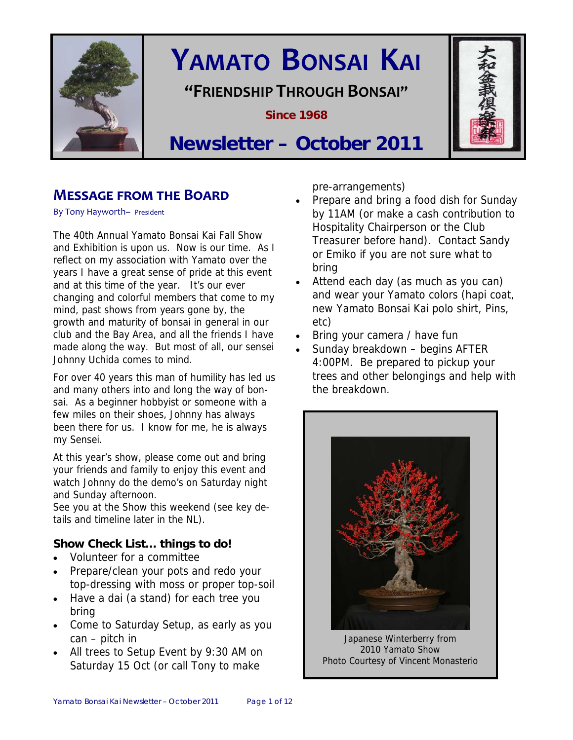

# **YAMATO BONSAI KAI**

**"FRIENDSHIP THROUGH BONSAI"**

**Since 1968** 



## **Newsletter – October 2011**

## **MESSAGE FROM THE BOARD**

By Tony Hayworth– President

The 40th Annual Yamato Bonsai Kai Fall Show and Exhibition is upon us. Now is our time. As I reflect on my association with Yamato over the years I have a great sense of pride at this event and at this time of the year. It's our ever changing and colorful members that come to my mind, past shows from years gone by, the growth and maturity of bonsai in general in our club and the Bay Area, and all the friends I have made along the way. But most of all, our sensei Johnny Uchida comes to mind.

For over 40 years this man of humility has led us and many others into and long the way of bonsai. As a beginner hobbyist or someone with a few miles on their shoes, Johnny has always been there for us. I know for me, he is always my Sensei.

At this year's show, please come out and bring your friends and family to enjoy this event and watch Johnny do the demo's on Saturday night and Sunday afternoon.

See you at the Show this weekend (see key details and timeline later in the NL).

## **Show Check List… things to do!**

- Volunteer for a committee
- Prepare/clean your pots and redo your top-dressing with moss or proper top-soil
- Have a dai (a stand) for each tree you bring
- Come to Saturday Setup, as early as you can – pitch in
- All trees to Setup Event by 9:30 AM on Saturday 15 Oct (or call Tony to make

pre-arrangements)

- Prepare and bring a food dish for Sunday by 11AM (or make a cash contribution to Hospitality Chairperson or the Club Treasurer before hand). Contact Sandy or Emiko if you are not sure what to bring
- Attend each day (as much as you can) and wear your Yamato colors (hapi coat, new Yamato Bonsai Kai polo shirt, Pins, etc)
- Bring your camera / have fun
- Sunday breakdown begins AFTER 4:00PM. Be prepared to pickup your trees and other belongings and help with the breakdown.



Japanese Winterberry from 2010 Yamato Show Photo Courtesy of Vincent Monasterio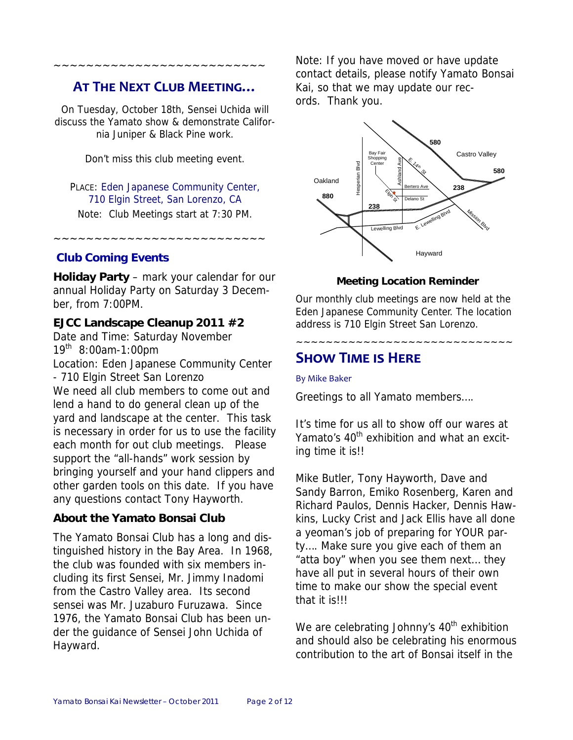## **AT THE NEXT CLUB MEETING…**

~~~~~~~~~~~~~~~~~~~~~~~~~~

On Tuesday, October 18th, Sensei Uchida will discuss the Yamato show & demonstrate California Juniper & Black Pine work.

Don't miss this club meeting event.

## PLACE: Eden Japanese Community Center, 710 Elgin Street, San Lorenzo, CA

Note: Club Meetings start at 7:30 PM.

~~~~~~~~~~~~~~~~~~~~~~~~~~

## **Club Coming Events**

**Holiday Party** – mark your calendar for our annual Holiday Party on Saturday 3 December, from 7:00PM.

## **EJCC Landscape Cleanup 2011 #2**

Date and Time: Saturday November 19th 8:00am-1:00pm

Location: Eden Japanese Community Center - 710 Elgin Street San Lorenzo We need all club members to come out and lend a hand to do general clean up of the yard and landscape at the center. This task is necessary in order for us to use the facility each month for out club meetings. Please support the "all-hands" work session by bringing yourself and your hand clippers and other garden tools on this date. If you have any questions contact Tony Hayworth.

## **About the Yamato Bonsai Club**

The Yamato Bonsai Club has a long and distinguished history in the Bay Area. In 1968, the club was founded with six members including its first Sensei, Mr. Jimmy Inadomi from the Castro Valley area. Its second sensei was Mr. Juzaburo Furuzawa. Since 1976, the Yamato Bonsai Club has been under the guidance of Sensei John Uchida of Hayward.

Note: If you have moved or have update contact details, please notify Yamato Bonsai Kai, so that we may update our records. Thank you.



## **Meeting Location Reminder**

Our monthly club meetings are now held at the Eden Japanese Community Center. The location address is 710 Elgin Street San Lorenzo.

~~~~~~~~~~~~~~~~~~~~~~~~~~~~~

## **SHOW TIME IS HERE**

#### By Mike Baker

Greetings to all Yamato members….

It's time for us all to show off our wares at Yamato's 40<sup>th</sup> exhibition and what an exciting time it is!!

Mike Butler, Tony Hayworth, Dave and Sandy Barron, Emiko Rosenberg, Karen and Richard Paulos, Dennis Hacker, Dennis Hawkins, Lucky Crist and Jack Ellis have all done a yeoman's job of preparing for YOUR party…. Make sure you give each of them an "atta boy" when you see them next… they have all put in several hours of their own time to make our show the special event that it is!!!

We are celebrating Johnny's  $40<sup>th</sup>$  exhibition and should also be celebrating his enormous contribution to the art of Bonsai itself in the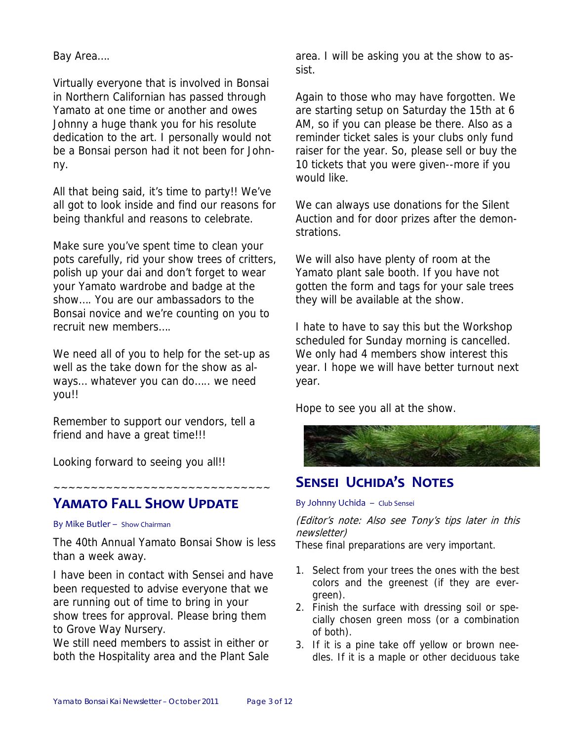Bay Area….

Virtually everyone that is involved in Bonsai in Northern Californian has passed through Yamato at one time or another and owes Johnny a huge thank you for his resolute dedication to the art. I personally would not be a Bonsai person had it not been for Johnny.

All that being said, it's time to party!! We've all got to look inside and find our reasons for being thankful and reasons to celebrate.

Make sure you've spent time to clean your pots carefully, rid your show trees of critters, polish up your dai and don't forget to wear your Yamato wardrobe and badge at the show…. You are our ambassadors to the Bonsai novice and we're counting on you to recruit new members….

We need all of you to help for the set-up as well as the take down for the show as always... whatever you can do..... we need you!!

Remember to support our vendors, tell a friend and have a great time!!!

Looking forward to seeing you all!!

## **YAMATO FALL SHOW UPDATE**

#### By Mike Butler – Show Chairman

The 40th Annual Yamato Bonsai Show is less than a week away.

~~~~~~~~~~~~~~~~~~~~~~~~~~~~~

I have been in contact with Sensei and have been requested to advise everyone that we are running out of time to bring in your show trees for approval. Please bring them to Grove Way Nursery.

We still need members to assist in either or both the Hospitality area and the Plant Sale area. I will be asking you at the show to assist.

Again to those who may have forgotten. We are starting setup on Saturday the 15th at 6 AM, so if you can please be there. Also as a reminder ticket sales is your clubs only fund raiser for the year. So, please sell or buy the 10 tickets that you were given--more if you would like.

We can always use donations for the Silent Auction and for door prizes after the demonstrations.

We will also have plenty of room at the Yamato plant sale booth. If you have not gotten the form and tags for your sale trees they will be available at the show.

I hate to have to say this but the Workshop scheduled for Sunday morning is cancelled. We only had 4 members show interest this year. I hope we will have better turnout next year.

Hope to see you all at the show.



## **SENSEI UCHIDA'S NOTES**

#### By Johnny Uchida – Club Sensei

(Editor's note: Also see Tony's tips later in this newsletter)

These final preparations are very important.

- 1. Select from your trees the ones with the best colors and the greenest (if they are evergreen).
- 2. Finish the surface with dressing soil or specially chosen green moss (or a combination of both).
- 3. If it is a pine take off yellow or brown needles. If it is a maple or other deciduous take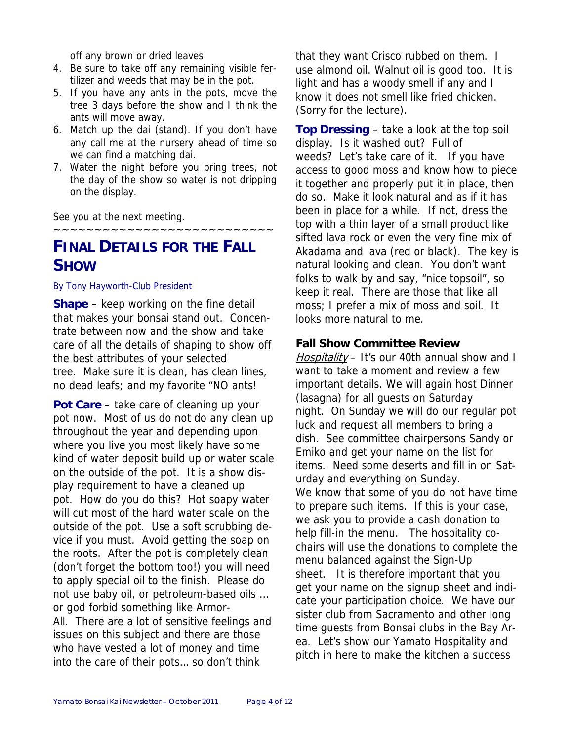off any brown or dried leaves

- 4. Be sure to take off any remaining visible fertilizer and weeds that may be in the pot.
- 5. If you have any ants in the pots, move the tree 3 days before the show and I think the ants will move away.
- 6. Match up the dai (stand). If you don't have any call me at the nursery ahead of time so we can find a matching dai.
- 7. Water the night before you bring trees, not the day of the show so water is not dripping on the display.

~~~~~~~~~~~~~~~~~~~~~~~~~~~

See you at the next meeting.

**FINAL DETAILS FOR THE FALL SHOW**

By Tony Hayworth-Club President

**Shape** – keep working on the fine detail that makes your bonsai stand out. Concentrate between now and the show and take care of all the details of shaping to show off the best attributes of your selected tree. Make sure it is clean, has clean lines, no dead leafs; and my favorite "NO ants!

**Pot Care** – take care of cleaning up your pot now. Most of us do not do any clean up throughout the year and depending upon where you live you most likely have some kind of water deposit build up or water scale on the outside of the pot. It is a show display requirement to have a cleaned up pot. How do you do this? Hot soapy water will cut most of the hard water scale on the outside of the pot. Use a soft scrubbing device if you must. Avoid getting the soap on the roots. After the pot is completely clean (don't forget the bottom too!) you will need to apply special oil to the finish. Please do not use baby oil, or petroleum-based oils … or god forbid something like Armor-All. There are a lot of sensitive feelings and issues on this subject and there are those who have vested a lot of money and time into the care of their pots… so don't think

that they want Crisco rubbed on them. I use almond oil. Walnut oil is good too. It is light and has a woody smell if any and I know it does not smell like fried chicken. (Sorry for the lecture).

**Top Dressing** – take a look at the top soil display. Is it washed out? Full of weeds? Let's take care of it. If you have access to good moss and know how to piece it together and properly put it in place, then do so. Make it look natural and as if it has been in place for a while. If not, dress the top with a thin layer of a small product like sifted lava rock or even the very fine mix of Akadama and lava (red or black). The key is natural looking and clean. You don't want folks to walk by and say, "nice topsoil", so keep it real. There are those that like all moss; I prefer a mix of moss and soil. It looks more natural to me.

## **Fall Show Committee Review**

Hospitality – It's our 40th annual show and I want to take a moment and review a few important details. We will again host Dinner (lasagna) for all guests on Saturday night. On Sunday we will do our regular pot luck and request all members to bring a dish. See committee chairpersons Sandy or Emiko and get your name on the list for items. Need some deserts and fill in on Saturday and everything on Sunday. We know that some of you do not have time to prepare such items. If this is your case, we ask you to provide a cash donation to help fill-in the menu. The hospitality cochairs will use the donations to complete the menu balanced against the Sign-Up sheet. It is therefore important that you get your name on the signup sheet and indicate your participation choice. We have our sister club from Sacramento and other long time guests from Bonsai clubs in the Bay Area. Let's show our Yamato Hospitality and pitch in here to make the kitchen a success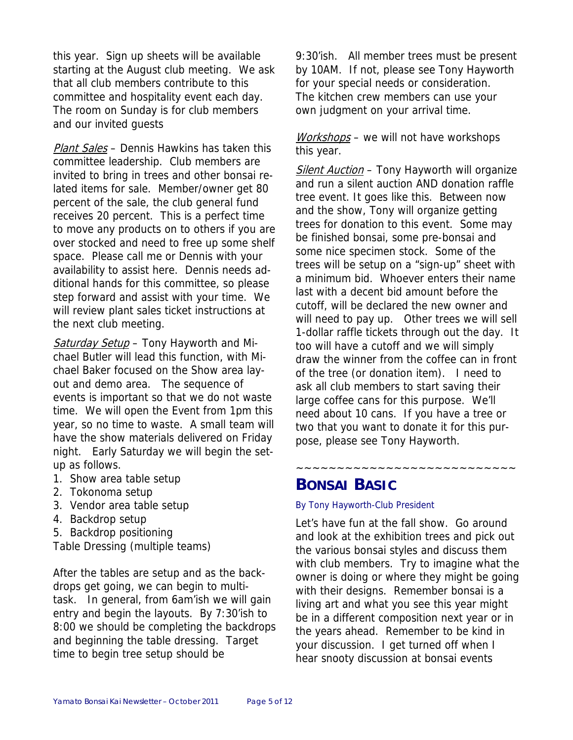this year. Sign up sheets will be available starting at the August club meeting. We ask that all club members contribute to this committee and hospitality event each day. The room on Sunday is for club members and our invited guests

Plant Sales - Dennis Hawkins has taken this committee leadership. Club members are invited to bring in trees and other bonsai related items for sale. Member/owner get 80 percent of the sale, the club general fund receives 20 percent. This is a perfect time to move any products on to others if you are over stocked and need to free up some shelf space. Please call me or Dennis with your availability to assist here. Dennis needs additional hands for this committee, so please step forward and assist with your time. We will review plant sales ticket instructions at the next club meeting.

Saturday Setup - Tony Hayworth and Michael Butler will lead this function, with Michael Baker focused on the Show area layout and demo area. The sequence of events is important so that we do not waste time. We will open the Event from 1pm this year, so no time to waste. A small team will have the show materials delivered on Friday night. Early Saturday we will begin the setup as follows.

- 1. Show area table setup
- 2. Tokonoma setup
- 3. Vendor area table setup
- 4. Backdrop setup
- 5. Backdrop positioning

Table Dressing (multiple teams)

After the tables are setup and as the backdrops get going, we can begin to multitask. In general, from 6am'ish we will gain entry and begin the layouts. By 7:30'ish to 8:00 we should be completing the backdrops and beginning the table dressing. Target time to begin tree setup should be

9:30'ish. All member trees must be present by 10AM. If not, please see Tony Hayworth for your special needs or consideration. The kitchen crew members can use your own judgment on your arrival time.

Workshops – we will not have workshops this year.

Silent Auction - Tony Hayworth will organize and run a silent auction AND donation raffle tree event. It goes like this. Between now and the show, Tony will organize getting trees for donation to this event. Some may be finished bonsai, some pre-bonsai and some nice specimen stock. Some of the trees will be setup on a "sign-up" sheet with a minimum bid. Whoever enters their name last with a decent bid amount before the cutoff, will be declared the new owner and will need to pay up. Other trees we will sell 1-dollar raffle tickets through out the day. It too will have a cutoff and we will simply draw the winner from the coffee can in front of the tree (or donation item). I need to ask all club members to start saving their large coffee cans for this purpose. We'll need about 10 cans. If you have a tree or two that you want to donate it for this purpose, please see Tony Hayworth.

**BONSAI BASIC**

## By Tony Hayworth-Club President

Let's have fun at the fall show. Go around and look at the exhibition trees and pick out the various bonsai styles and discuss them with club members. Try to imagine what the owner is doing or where they might be going with their designs. Remember bonsai is a living art and what you see this year might be in a different composition next year or in the years ahead. Remember to be kind in your discussion. I get turned off when I hear snooty discussion at bonsai events

~~~~~~~~~~~~~~~~~~~~~~~~~~~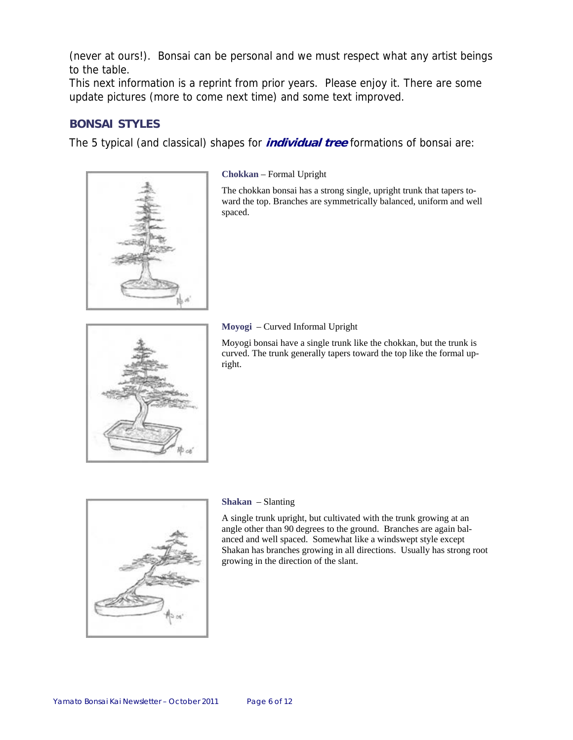(never at ours!). Bonsai can be personal and we must respect what any artist beings to the table.

This next information is a reprint from prior years. Please enjoy it. There are some update pictures (more to come next time) and some text improved.

## **BONSAI STYLES**

The 5 typical (and classical) shapes for **individual tree** formations of bonsai are:



#### **Chokkan** – Formal Upright

The chokkan bonsai has a strong single, upright trunk that tapers toward the top. Branches are symmetrically balanced, uniform and well spaced.



#### **Moyogi** – Curved Informal Upright

Moyogi bonsai have a single trunk like the chokkan, but the trunk is curved. The trunk generally tapers toward the top like the formal upright.



#### **Shakan** – Slanting

A single trunk upright, but cultivated with the trunk growing at an angle other than 90 degrees to the ground. Branches are again balanced and well spaced. Somewhat like a windswept style except Shakan has branches growing in all directions. Usually has strong root growing in the direction of the slant.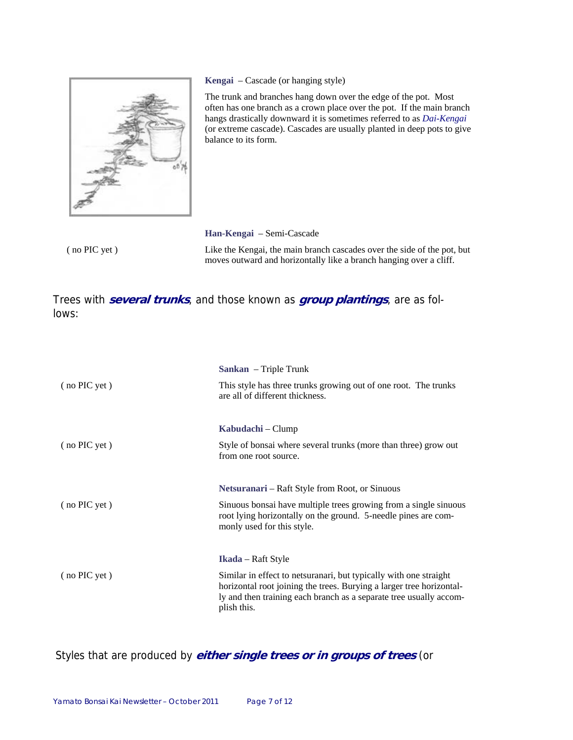

**Kengai** – Cascade (or hanging style)

The trunk and branches hang down over the edge of the pot. Most often has one branch as a crown place over the pot. If the main branch hangs drastically downward it is sometimes referred to as *Dai-Kengai* (or extreme cascade). Cascades are usually planted in deep pots to give balance to its form.

( no PIC yet )

**Han-Kengai** – Semi-Cascade

Like the Kengai, the main branch cascades over the side of the pot, but moves outward and horizontally like a branch hanging over a cliff.

Trees with **several trunks**, and those known as **group plantings**, are as follows:

|                 | Sankan – Triple Trunk                                                                                                                                                                                                          |
|-----------------|--------------------------------------------------------------------------------------------------------------------------------------------------------------------------------------------------------------------------------|
| (no PIC yet)    | This style has three trunks growing out of one root. The trunks<br>are all of different thickness.                                                                                                                             |
|                 | Kabudachi – Clump                                                                                                                                                                                                              |
| $($ no PIC yet) | Style of bonsai where several trunks (more than three) grow out<br>from one root source.                                                                                                                                       |
|                 |                                                                                                                                                                                                                                |
|                 | Netsuranari – Raft Style from Root, or Sinuous                                                                                                                                                                                 |
| $($ no PIC yet) | Sinuous bonsai have multiple trees growing from a single sinuous<br>root lying horizontally on the ground. 5-needle pines are com-<br>monly used for this style.                                                               |
|                 |                                                                                                                                                                                                                                |
|                 | <b>Ikada</b> – Raft Style                                                                                                                                                                                                      |
| (no PIC yet)    | Similar in effect to netsuranari, but typically with one straight<br>horizontal root joining the trees. Burying a larger tree horizontal-<br>ly and then training each branch as a separate tree usually accom-<br>plish this. |

Styles that are produced by **either single trees or in groups of trees** (or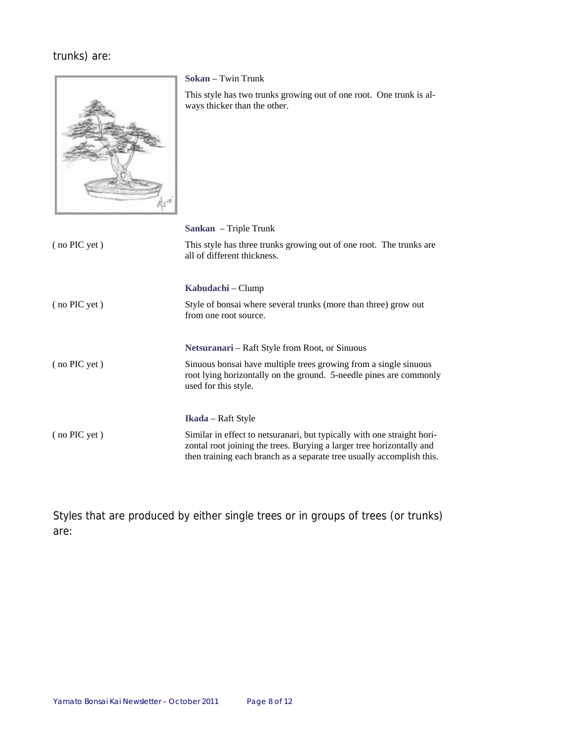## trunks) are:



**Sokan** – Twin Trunk

This style has two trunks growing out of one root. One trunk is always thicker than the other.

|              | <b>Sankan</b> – Triple Trunk                                                                                                                                                                                              |
|--------------|---------------------------------------------------------------------------------------------------------------------------------------------------------------------------------------------------------------------------|
| (no PIC yet) | This style has three trunks growing out of one root. The trunks are<br>all of different thickness.                                                                                                                        |
|              | Kabudachi – Clump                                                                                                                                                                                                         |
| (no PIC yet) | Style of bonsai where several trunks (more than three) grow out<br>from one root source.                                                                                                                                  |
|              | Netsuranari – Raft Style from Root, or Sinuous                                                                                                                                                                            |
| (no PIC yet) | Sinuous bonsai have multiple trees growing from a single sinuous<br>root lying horizontally on the ground. 5-needle pines are commonly<br>used for this style.                                                            |
|              | <b>Ikada</b> – Raft Style                                                                                                                                                                                                 |
| (no PIC yet) | Similar in effect to netsuranari, but typically with one straight hori-<br>zontal root joining the trees. Burying a larger tree horizontally and<br>then training each branch as a separate tree usually accomplish this. |

Styles that are produced by either single trees or in groups of trees (or trunks) are: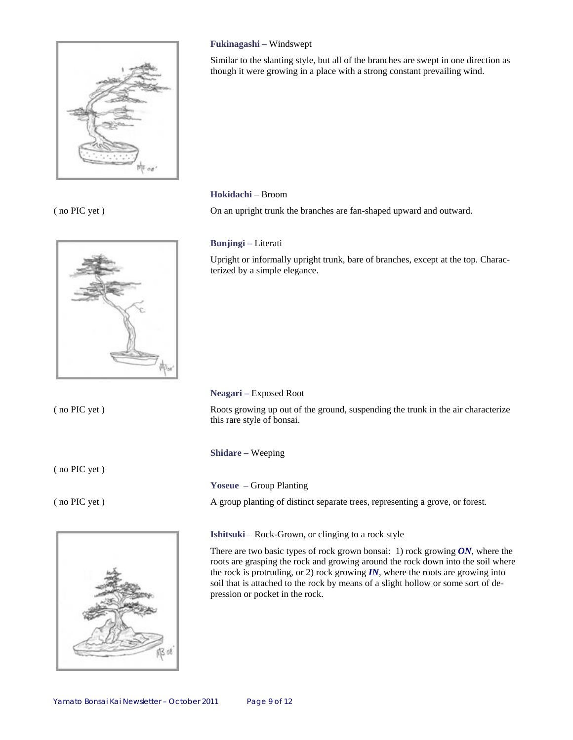

#### ( no PIC yet )



( no PIC yet )

( no PIC yet )

( no PIC yet )



#### **Fukinagashi –** Windswept

Similar to the slanting style, but all of the branches are swept in one direction as though it were growing in a place with a strong constant prevailing wind.

#### **Hokidachi** – Broom

On an upright trunk the branches are fan-shaped upward and outward.

#### **Bunjingi –** Literati

Upright or informally upright trunk, bare of branches, except at the top. Characterized by a simple elegance.

#### **Neagari –** Exposed Root

Roots growing up out of the ground, suspending the trunk in the air characterize this rare style of bonsai.

**Shidare –** Weeping

#### **Yoseue –** Group Planting

A group planting of distinct separate trees, representing a grove, or forest.

#### **Ishitsuki** – Rock-Grown, or clinging to a rock style

There are two basic types of rock grown bonsai: 1) rock growing *ON*, where the roots are grasping the rock and growing around the rock down into the soil where the rock is protruding, or 2) rock growing  $IN$ , where the roots are growing into soil that is attached to the rock by means of a slight hollow or some sort of depression or pocket in the rock.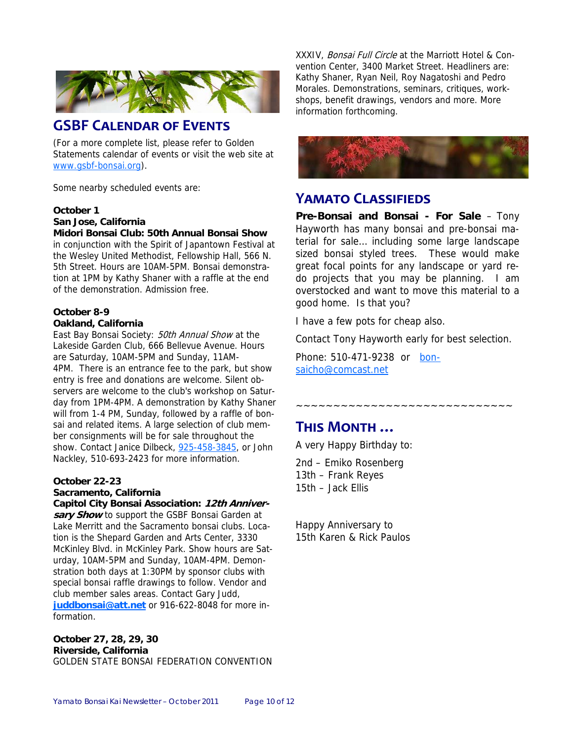

## **GSBF CALENDAR OF EVENTS**

(For a more complete list, please refer to Golden Statements calendar of events or visit the web site at www.gsbf-bonsai.org).

Some nearby scheduled events are:

#### **October 1**

**San Jose, California**

#### **Midori Bonsai Club: 50th Annual Bonsai Show**

in conjunction with the Spirit of Japantown Festival at the Wesley United Methodist, Fellowship Hall, 566 N. 5th Street. Hours are 10AM-5PM. Bonsai demonstration at 1PM by Kathy Shaner with a raffle at the end of the demonstration. Admission free.

#### **October 8-9 Oakland, California**

East Bay Bonsai Society: 50th Annual Show at the Lakeside Garden Club, 666 Bellevue Avenue. Hours are Saturday, 10AM-5PM and Sunday, 11AM-4PM. There is an entrance fee to the park, but show entry is free and donations are welcome. Silent observers are welcome to the club's workshop on Saturday from 1PM-4PM. A demonstration by Kathy Shaner will from 1-4 PM, Sunday, followed by a raffle of bonsai and related items. A large selection of club member consignments will be for sale throughout the show. Contact Janice Dilbeck, 925-458-3845, or John Nackley, 510-693-2423 for more information.

#### **October 22-23**

#### **Sacramento, California**

**Capitol City Bonsai Association: 12th Anniversary Show** to support the GSBF Bonsai Garden at Lake Merritt and the Sacramento bonsai clubs. Location is the Shepard Garden and Arts Center, 3330 McKinley Blvd. in McKinley Park. Show hours are Saturday, 10AM-5PM and Sunday, 10AM-4PM. Demonstration both days at 1:30PM by sponsor clubs with special bonsai raffle drawings to follow. Vendor and club member sales areas. Contact Gary Judd, **juddbonsai@att.net** or 916-622-8048 for more information.

**October 27, 28, 29, 30 Riverside, California** GOLDEN STATE BONSAI FEDERATION CONVENTION XXXIV, Bonsai Full Circle at the Marriott Hotel & Convention Center, 3400 Market Street. Headliners are: Kathy Shaner, Ryan Neil, Roy Nagatoshi and Pedro Morales. Demonstrations, seminars, critiques, workshops, benefit drawings, vendors and more. More information forthcoming.



## **YAMATO CLASSIFIEDS**

**Pre-Bonsai and Bonsai - For Sale** – Tony Hayworth has many bonsai and pre-bonsai material for sale… including some large landscape sized bonsai styled trees. These would make great focal points for any landscape or yard redo projects that you may be planning. I am overstocked and want to move this material to a good home. Is that you?

I have a few pots for cheap also.

Contact Tony Hayworth early for best selection.

~~~~~~~~~~~~~~~~~~~~~~~~~~~~~~~

Phone: 510-471-9238 or bonsaicho@comcast.net

## **THIS MONTH …**

A very Happy Birthday to:

2nd – Emiko Rosenberg 13th – Frank Reyes 15th – Jack Ellis

Happy Anniversary to 15th Karen & Rick Paulos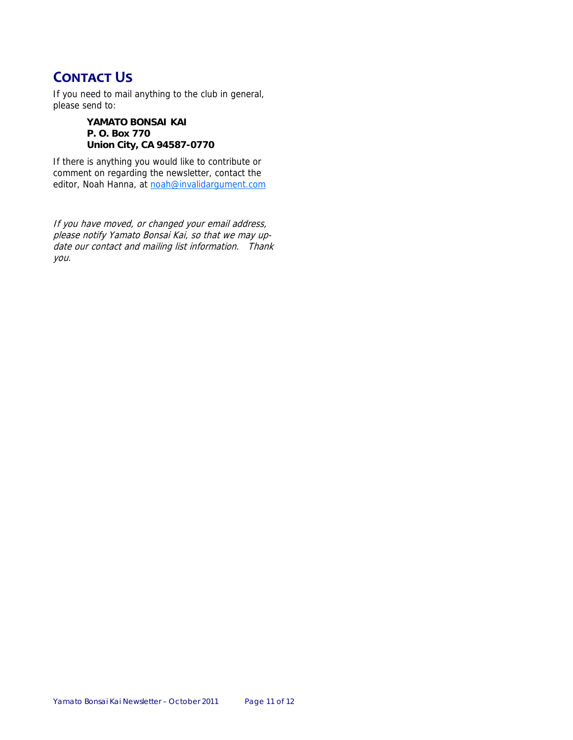## **CONTACT US**

If you need to mail anything to the club in general, please send to:

> **YAMATO BONSAI KAI P. O. Box 770 Union City, CA 94587-0770**

If there is anything you would like to contribute or comment on regarding the newsletter, contact the editor, Noah Hanna, at noah@invalidargument.com

If you have moved, or changed your email address, please notify Yamato Bonsai Kai, so that we may update our contact and mailing list information. Thank you.